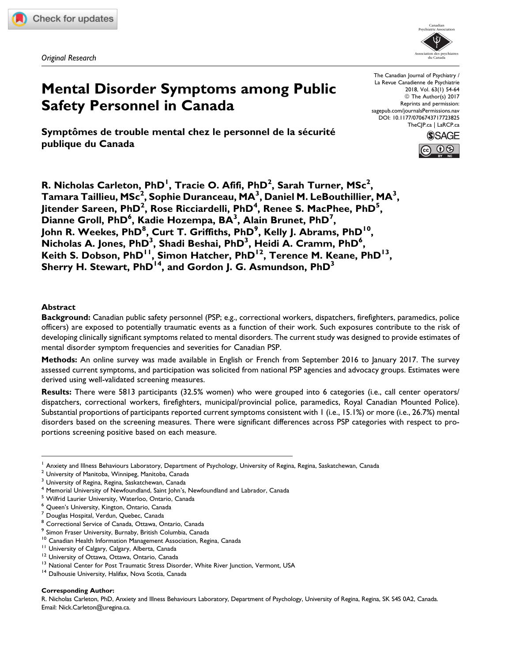Original Research



# Mental Disorder Symptoms among Public Safety Personnel in Canada

Symptômes de trouble mental chez le personnel de la sécurité publique du Canada

The Canadian Journal of Psychiatry / La Revue Canadienne de Psychiatrie 2018, Vol. 63(1) 54-64 © The Author(s) 2017 Reprints and permission: [sagepub.com/journalsPermissions.nav](https://us.sagepub.com/en-us/journals-permissions) [DOI: 10.1177/0706743717723825](https://doi.org/10.1177/0706743717723825) [TheCJP.ca](http://thecjp.ca) | [LaRCP.ca](http://larcp.ca)



R. Nicholas Carleton, PhD<sup>I</sup>, Tracie O. Afifi, PhD<sup>2</sup>, Sarah Turner, MSc<sup>2</sup>, Tamara Taillieu, MSc $^2$ , Sophie Duranceau, MA $^3$ , Daniel M. LeBouthillier, MA $^3$ , Jitender Sareen, PhD<sup>2</sup>, Rose Ricciardelli, PhD<sup>4</sup>, Renee S. MacPhee, PhD<sup>5</sup>,  $\overline{\mathsf{D}}$ ianne Groll, PhD $^6$ , Kadie Hozempa, BA $^3$ , Alain Brunet, PhD $^7$ , John R. Weekes, PhD<sup>8</sup>, Curt T. Griffiths, PhD<sup>9</sup>, Kelly J. Abrams, PhD<sup>10</sup>,  $\overline{\mathsf{N}}$ icholas A. Jones, PhD $^3$ , Shadi Beshai, PhD $^3$ , Heidi A. Cramm, PhD $^6$ , Keith S. Dobson, PhD<sup>11</sup>, Simon Hatcher, PhD<sup>12</sup>, Terence M. Keane, PhD<sup>13</sup>, Sherry H. Stewart, PhD<sup>14</sup>, and Gordon J. G. Asmundson, PhD<sup>3</sup>

# Abstract

Background: Canadian public safety personnel (PSP; e.g., correctional workers, dispatchers, firefighters, paramedics, police officers) are exposed to potentially traumatic events as a function of their work. Such exposures contribute to the risk of developing clinically significant symptoms related to mental disorders. The current study was designed to provide estimates of mental disorder symptom frequencies and severities for Canadian PSP.

Methods: An online survey was made available in English or French from September 2016 to January 2017. The survey assessed current symptoms, and participation was solicited from national PSP agencies and advocacy groups. Estimates were derived using well-validated screening measures.

Results: There were 5813 participants (32.5% women) who were grouped into 6 categories (i.e., call center operators/ dispatchers, correctional workers, firefighters, municipal/provincial police, paramedics, Royal Canadian Mounted Police). Substantial proportions of participants reported current symptoms consistent with 1 (i.e., 15.1%) or more (i.e., 26.7%) mental disorders based on the screening measures. There were significant differences across PSP categories with respect to proportions screening positive based on each measure.

#### Corresponding Author:

R. Nicholas Carleton, PhD, Anxiety and Illness Behaviours Laboratory, Department of Psychology, University of Regina, Regina, SK S4S 0A2, Canada. Email: Nick.Carleton@uregina.ca.

<sup>&</sup>lt;sup>1</sup> Anxiety and Illness Behaviours Laboratory, Department of Psychology, University of Regina, Regina, Saskatchewan, Canada

<sup>&</sup>lt;sup>2</sup> University of Manitoba, Winnipeg, Manitoba, Canada

<sup>&</sup>lt;sup>3</sup> University of Regina, Regina, Saskatchewan, Canada

<sup>&</sup>lt;sup>4</sup> Memorial University of Newfoundland, Saint John's, Newfoundland and Labrador, Canada

<sup>5</sup> Wilfrid Laurier University, Waterloo, Ontario, Canada

Queen's University, Kington, Ontario, Canada

<sup>7</sup> Douglas Hospital, Verdun, Quebec, Canada

<sup>8</sup> Correctional Service of Canada, Ottawa, Ontario, Canada

<sup>&</sup>lt;sup>9</sup> Simon Fraser University, Burnaby, British Columbia, Canada<br><sup>10</sup> Canadian Health Information Management Association, Regina, Canada

<sup>&</sup>lt;sup>11</sup> University of Calgary, Calgary, Alberta, Canada<br><sup>12</sup> University of Ottawa, Ottawa, Ontario, Canada<br><sup>13</sup> National Center for Post Traumatic Stress Disorder, White River Junction, Vermont, USA<br><sup>14</sup> Dalhousie University,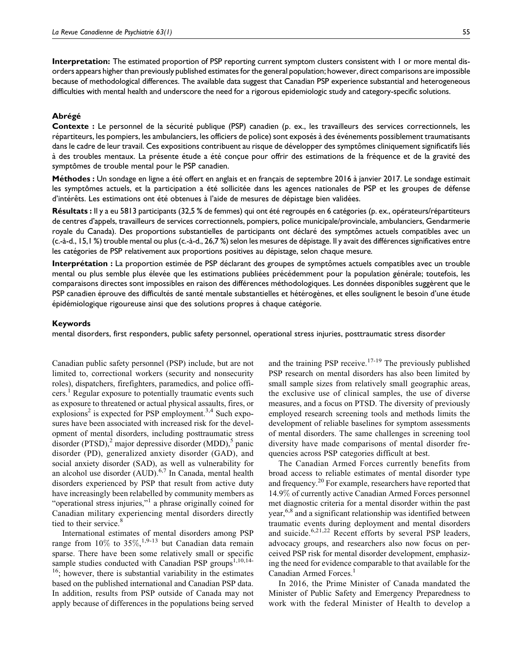Interpretation: The estimated proportion of PSP reporting current symptom clusters consistent with 1 or more mental disorders appears higher than previously published estimates for the general population; however, direct comparisons are impossible because of methodological differences. The available data suggest that Canadian PSP experience substantial and heterogeneous difficulties with mental health and underscore the need for a rigorous epidemiologic study and category-specific solutions.

#### Abrégé

Contexte : Le personnel de la sécurité publique (PSP) canadien (p. ex., les travailleurs des services correctionnels, les répartiteurs, les pompiers, les ambulanciers, les officiers de police) sont exposés à des événements possiblement traumatisants dans le cadre de leur travail. Ces expositions contribuent au risque de développer des symptômes cliniquement significatifs liés à des troubles mentaux. La présente étude a été conçue pour offrir des estimations de la fréquence et de la gravité des symptômes de trouble mental pour le PSP canadien.

Méthodes : Un sondage en ligne a été offert en anglais et en français de septembre 2016 à janvier 2017. Le sondage estimait les symptômes actuels, et la participation a été sollicitée dans les agences nationales de PSP et les groupes de défense d'intérêts. Les estimations ont été obtenues à l'aide de mesures de dépistage bien validées.

Résultats : Il y a eu 5813 participants (32,5 % de femmes) qui ont été regroupés en 6 catégories (p. ex., opérateurs/répartiteurs de centres d'appels, travailleurs de services correctionnels, pompiers, police municipale/provinciale, ambulanciers, Gendarmerie royale du Canada). Des proportions substantielles de participants ont déclaré des symptômes actuels compatibles avec un (c.-à-d., 15,1 %) trouble mental ou plus (c.-à-d., 26,7 %) selon les mesures de dépistage. Il y avait des différences significatives entre les catégories de PSP relativement aux proportions positives au dépistage, selon chaque mesure.

Interprétation : La proportion estimée de PSP déclarant des groupes de symptômes actuels compatibles avec un trouble mental ou plus semble plus élevée que les estimations publiées précédemment pour la population générale; toutefois, les comparaisons directes sont impossibles en raison des différences méthodologiques. Les données disponibles suggèrent que le PSP canadien éprouve des difficultés de santé mentale substantielles et hétérogènes, et elles soulignent le besoin d'une étude épidémiologique rigoureuse ainsi que des solutions propres à chaque catégorie.

#### Keywords

mental disorders, first responders, public safety personnel, operational stress injuries, posttraumatic stress disorder

Canadian public safety personnel (PSP) include, but are not limited to, correctional workers (security and nonsecurity roles), dispatchers, firefighters, paramedics, and police officers.<sup>1</sup> Regular exposure to potentially traumatic events such as exposure to threatened or actual physical assaults, fires, or explosions<sup>2</sup> is expected for PSP employment.<sup>3,4</sup> Such exposures have been associated with increased risk for the development of mental disorders, including posttraumatic stress disorder (PTSD), $^2$  major depressive disorder (MDD), $^5$  panic disorder (PD), generalized anxiety disorder (GAD), and social anxiety disorder (SAD), as well as vulnerability for an alcohol use disorder (AUD).<sup>6,7</sup> In Canada, mental health disorders experienced by PSP that result from active duty have increasingly been relabelled by community members as "operational stress injuries,"<sup>1</sup> a phrase originally coined for Canadian military experiencing mental disorders directly tied to their service.<sup>8</sup>

International estimates of mental disorders among PSP range from  $10\%$  to  $35\%,^{1,9-13}$  but Canadian data remain sparse. There have been some relatively small or specific sample studies conducted with Canadian PSP groups $1,10,14$ - $16$ ; however, there is substantial variability in the estimates based on the published international and Canadian PSP data.

In addition, results from PSP outside of Canada may not apply because of differences in the populations being served

and the training PSP receive. $17-19$  The previously published PSP research on mental disorders has also been limited by small sample sizes from relatively small geographic areas, the exclusive use of clinical samples, the use of diverse measures, and a focus on PTSD. The diversity of previously employed research screening tools and methods limits the development of reliable baselines for symptom assessments of mental disorders. The same challenges in screening tool diversity have made comparisons of mental disorder frequencies across PSP categories difficult at best.

The Canadian Armed Forces currently benefits from broad access to reliable estimates of mental disorder type and frequency.20 For example, researchers have reported that 14.9% of currently active Canadian Armed Forces personnel met diagnostic criteria for a mental disorder within the past year,<sup>6,8</sup> and a significant relationship was identified between traumatic events during deployment and mental disorders and suicide.<sup>6,21,22</sup> Recent efforts by several PSP leaders, advocacy groups, and researchers also now focus on perceived PSP risk for mental disorder development, emphasizing the need for evidence comparable to that available for the Canadian Armed Forces.<sup>1</sup>

In 2016, the Prime Minister of Canada mandated the Minister of Public Safety and Emergency Preparedness to work with the federal Minister of Health to develop a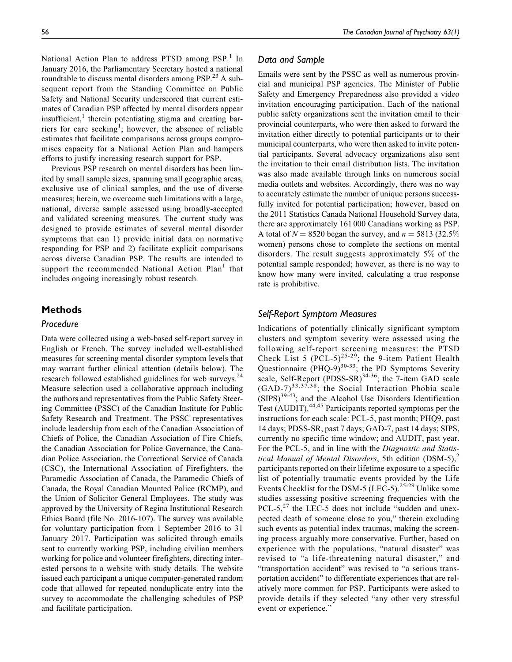National Action Plan to address PTSD among PSP.<sup>1</sup> In January 2016, the Parliamentary Secretary hosted a national roundtable to discuss mental disorders among PSP.<sup>23</sup> A subsequent report from the Standing Committee on Public Safety and National Security underscored that current estimates of Canadian PSP affected by mental disorders appear insufficient, $<sup>1</sup>$  therein potentiating stigma and creating bar-</sup> riers for care seeking<sup>1</sup>; however, the absence of reliable estimates that facilitate comparisons across groups compromises capacity for a National Action Plan and hampers efforts to justify increasing research support for PSP.

Previous PSP research on mental disorders has been limited by small sample sizes, spanning small geographic areas, exclusive use of clinical samples, and the use of diverse measures; herein, we overcome such limitations with a large, national, diverse sample assessed using broadly-accepted and validated screening measures. The current study was designed to provide estimates of several mental disorder symptoms that can 1) provide initial data on normative responding for PSP and 2) facilitate explicit comparisons across diverse Canadian PSP. The results are intended to support the recommended National Action Plan<sup>1</sup> that includes ongoing increasingly robust research.

# **Methods**

## Procedure

Data were collected using a web-based self-report survey in English or French. The survey included well-established measures for screening mental disorder symptom levels that may warrant further clinical attention (details below). The research followed established guidelines for web surveys.<sup>24</sup> Measure selection used a collaborative approach including the authors and representatives from the Public Safety Steering Committee (PSSC) of the Canadian Institute for Public Safety Research and Treatment. The PSSC representatives include leadership from each of the Canadian Association of Chiefs of Police, the Canadian Association of Fire Chiefs, the Canadian Association for Police Governance, the Canadian Police Association, the Correctional Service of Canada (CSC), the International Association of Firefighters, the Paramedic Association of Canada, the Paramedic Chiefs of Canada, the Royal Canadian Mounted Police (RCMP), and the Union of Solicitor General Employees. The study was approved by the University of Regina Institutional Research Ethics Board (file No. 2016-107). The survey was available for voluntary participation from 1 September 2016 to 31 January 2017. Participation was solicited through emails sent to currently working PSP, including civilian members working for police and volunteer firefighters, directing interested persons to a website with study details. The website issued each participant a unique computer-generated random code that allowed for repeated nonduplicate entry into the survey to accommodate the challenging schedules of PSP and facilitate participation.

## Data and Sample

Emails were sent by the PSSC as well as numerous provincial and municipal PSP agencies. The Minister of Public Safety and Emergency Preparedness also provided a video invitation encouraging participation. Each of the national public safety organizations sent the invitation email to their provincial counterparts, who were then asked to forward the invitation either directly to potential participants or to their municipal counterparts, who were then asked to invite potential participants. Several advocacy organizations also sent the invitation to their email distribution lists. The invitation was also made available through links on numerous social media outlets and websites. Accordingly, there was no way to accurately estimate the number of unique persons successfully invited for potential participation; however, based on the 2011 Statistics Canada National Household Survey data, there are approximately 161 000 Canadians working as PSP. A total of  $N = 8520$  began the survey, and  $n = 5813$  (32.5%) women) persons chose to complete the sections on mental disorders. The result suggests approximately 5% of the potential sample responded; however, as there is no way to know how many were invited, calculating a true response rate is prohibitive.

# Self-Report Symptom Measures

Indications of potentially clinically significant symptom clusters and symptom severity were assessed using the following self-report screening measures: the PTSD Check List 5 (PCL-5)<sup>25-29</sup>; the 9-item Patient Health Questionnaire (PHQ-9) $^{30-33}$ ; the PD Symptoms Severity scale, Self-Report  $($ PDSS-SR $)$ <sup>34-36</sup>; the 7-item GAD scale  $(GAD-7)^{33,37,38}$ ; the Social Interaction Phobia scale  $(SIPS)^{39-43}$ ; and the Alcohol Use Disorders Identification Test (AUDIT).<sup>44,45</sup> Participants reported symptoms per the instructions for each scale: PCL-5, past month; PHQ9, past 14 days; PDSS-SR, past 7 days; GAD-7, past 14 days; SIPS, currently no specific time window; and AUDIT, past year. For the PCL-5, and in line with the *Diagnostic and Statis*tical Manual of Mental Disorders, 5th edition  $(DSM-5)$ ,<sup>2</sup> participants reported on their lifetime exposure to a specific list of potentially traumatic events provided by the Life Events Checklist for the DSM-5 (LEC-5).<sup>25-29</sup> Unlike some studies assessing positive screening frequencies with the PCL-5, $^{27}$  the LEC-5 does not include "sudden and unexpected death of someone close to you," therein excluding such events as potential index traumas, making the screening process arguably more conservative. Further, based on experience with the populations, "natural disaster" was revised to "a life-threatening natural disaster," and "transportation accident" was revised to "a serious transportation accident" to differentiate experiences that are relatively more common for PSP. Participants were asked to provide details if they selected "any other very stressful event or experience."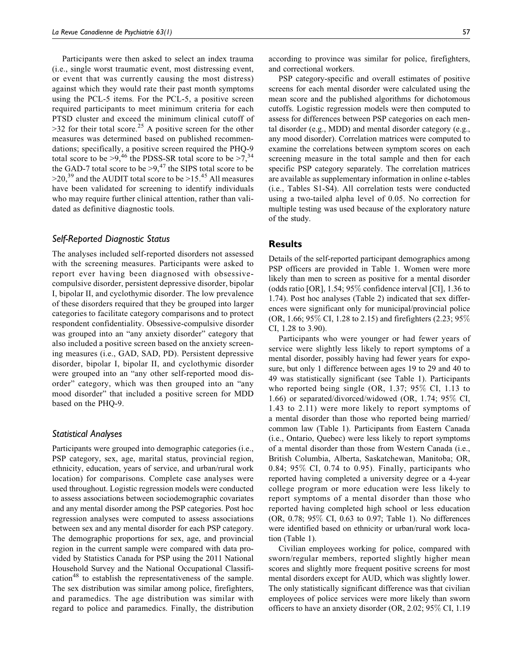Participants were then asked to select an index trauma (i.e., single worst traumatic event, most distressing event, or event that was currently causing the most distress) against which they would rate their past month symptoms using the PCL-5 items. For the PCL-5, a positive screen required participants to meet minimum criteria for each PTSD cluster and exceed the minimum clinical cutoff of  $>$ 32 for their total score.<sup>25</sup> A positive screen for the other measures was determined based on published recommendations; specifically, a positive screen required the PHQ-9 total score to be  $>9,^{46}$  the PDSS-SR total score to be  $>7,^{34}$ the GAD-7 total score to be  $>9,^{47}$  the SIPS total score to be  $>$ 20,<sup>39</sup> and the AUDIT total score to be  $>$ 15.<sup>45</sup> All measures have been validated for screening to identify individuals who may require further clinical attention, rather than validated as definitive diagnostic tools.

# Self-Reported Diagnostic Status

The analyses included self-reported disorders not assessed with the screening measures. Participants were asked to report ever having been diagnosed with obsessivecompulsive disorder, persistent depressive disorder, bipolar I, bipolar II, and cyclothymic disorder. The low prevalence of these disorders required that they be grouped into larger categories to facilitate category comparisons and to protect respondent confidentiality. Obsessive-compulsive disorder was grouped into an "any anxiety disorder" category that also included a positive screen based on the anxiety screening measures (i.e., GAD, SAD, PD). Persistent depressive disorder, bipolar I, bipolar II, and cyclothymic disorder were grouped into an "any other self-reported mood disorder" category, which was then grouped into an "any mood disorder" that included a positive screen for MDD based on the PHQ-9.

## Statistical Analyses

Participants were grouped into demographic categories (i.e., PSP category, sex, age, marital status, provincial region, ethnicity, education, years of service, and urban/rural work location) for comparisons. Complete case analyses were used throughout. Logistic regression models were conducted to assess associations between sociodemographic covariates and any mental disorder among the PSP categories. Post hoc regression analyses were computed to assess associations between sex and any mental disorder for each PSP category. The demographic proportions for sex, age, and provincial region in the current sample were compared with data provided by Statistics Canada for PSP using the 2011 National Household Survey and the National Occupational Classification<sup>48</sup> to establish the representativeness of the sample. The sex distribution was similar among police, firefighters, and paramedics. The age distribution was similar with regard to police and paramedics. Finally, the distribution

according to province was similar for police, firefighters, and correctional workers.

PSP category-specific and overall estimates of positive screens for each mental disorder were calculated using the mean score and the published algorithms for dichotomous cutoffs. Logistic regression models were then computed to assess for differences between PSP categories on each mental disorder (e.g., MDD) and mental disorder category (e.g., any mood disorder). Correlation matrices were computed to examine the correlations between symptom scores on each screening measure in the total sample and then for each specific PSP category separately. The correlation matrices are available as supplementary information in online e-tables (i.e., Tables S1-S4). All correlation tests were conducted using a two-tailed alpha level of 0.05. No correction for multiple testing was used because of the exploratory nature of the study.

## **Results**

Details of the self-reported participant demographics among PSP officers are provided in Table 1. Women were more likely than men to screen as positive for a mental disorder (odds ratio [OR], 1.54; 95% confidence interval [CI], 1.36 to 1.74). Post hoc analyses (Table 2) indicated that sex differences were significant only for municipal/provincial police (OR, 1.66; 95% CI, 1.28 to 2.15) and firefighters (2.23; 95% CI, 1.28 to 3.90).

Participants who were younger or had fewer years of service were slightly less likely to report symptoms of a mental disorder, possibly having had fewer years for exposure, but only 1 difference between ages 19 to 29 and 40 to 49 was statistically significant (see Table 1). Participants who reported being single (OR, 1.37; 95% CI, 1.13 to 1.66) or separated/divorced/widowed (OR, 1.74; 95% CI, 1.43 to 2.11) were more likely to report symptoms of a mental disorder than those who reported being married/ common law (Table 1). Participants from Eastern Canada (i.e., Ontario, Quebec) were less likely to report symptoms of a mental disorder than those from Western Canada (i.e., British Columbia, Alberta, Saskatchewan, Manitoba; OR, 0.84; 95% CI, 0.74 to 0.95). Finally, participants who reported having completed a university degree or a 4-year college program or more education were less likely to report symptoms of a mental disorder than those who reported having completed high school or less education (OR, 0.78; 95% CI, 0.63 to 0.97; Table 1). No differences were identified based on ethnicity or urban/rural work location (Table 1).

Civilian employees working for police, compared with sworn/regular members, reported slightly higher mean scores and slightly more frequent positive screens for most mental disorders except for AUD, which was slightly lower. The only statistically significant difference was that civilian employees of police services were more likely than sworn officers to have an anxiety disorder (OR, 2.02; 95% CI, 1.19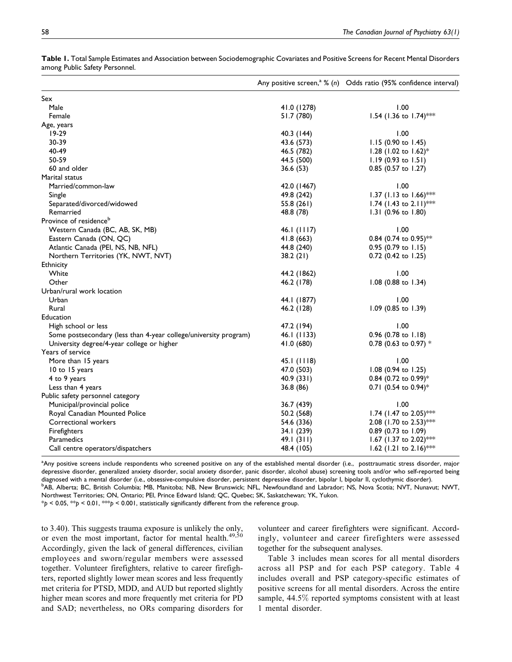|                                                                  |               | Any positive screen, <sup>a</sup> % (n) Odds ratio (95% confidence interval) |
|------------------------------------------------------------------|---------------|------------------------------------------------------------------------------|
| Sex                                                              |               |                                                                              |
| Male                                                             | 41.0 (1278)   | 1.00                                                                         |
| Female                                                           | 51.7 (780)    | 1.54 (1.36 to 1.74)***                                                       |
| Age, years                                                       |               |                                                                              |
| $19-29$                                                          | 40.3 (144)    | 1.00                                                                         |
| 30-39                                                            | 43.6 (573)    | 1.15 (0.90 to 1.45)                                                          |
| 40-49                                                            | 46.5 (782)    | 1.28 (1.02 to 1.62)*                                                         |
| 50-59                                                            | 44.5 (500)    | 1.19 (0.93 to 1.51)                                                          |
| 60 and older                                                     | 36.6 (53)     | 0.85 (0.57 to 1.27)                                                          |
| Marital status                                                   |               |                                                                              |
| Married/common-law                                               | 42.0 (1467)   | 1.00                                                                         |
| Single                                                           | 49.8 (242)    | 1.37 (1.13 to 1.66)***                                                       |
| Separated/divorced/widowed                                       | 55.8(261)     | 1.74 (1.43 to 2.11)***                                                       |
| Remarried                                                        | 48.8 (78)     | 1.31 $(0.96 \text{ to } 1.80)$                                               |
| Province of residence <sup>b</sup>                               |               |                                                                              |
| Western Canada (BC, AB, SK, MB)                                  | 46.1 $(1117)$ | 1.00                                                                         |
| Eastern Canada (ON, QC)                                          | 41.8(663)     | 0.84 (0.74 to 0.95)**                                                        |
| Atlantic Canada (PEI, NS, NB, NFL)                               | 44.8 (240)    | $0.95$ (0.79 to 1.15)                                                        |
| Northern Territories (YK, NWT, NVT)                              | 38.2(21)      | 0.72 (0.42 to 1.25)                                                          |
| <b>Ethnicity</b>                                                 |               |                                                                              |
| White                                                            | 44.2 (1862)   | 1.00                                                                         |
| Other                                                            | 46.2 (178)    | 1.08 (0.88 to 1.34)                                                          |
| Urban/rural work location                                        |               |                                                                              |
| Urban                                                            | 44.1 (1877)   | 1.00                                                                         |
| Rural                                                            | 46.2 (128)    | 1.09 (0.85 to 1.39)                                                          |
| Education                                                        |               |                                                                              |
| High school or less                                              | 47.2 (194)    | 1.00                                                                         |
| Some postsecondary (less than 4-year college/university program) | 46.1 (1133)   | 0.96 (0.78 to 1.18)                                                          |
| University degree/4-year college or higher                       | 41.0 (680)    | 0.78 (0.63 to 0.97) $*$                                                      |
| Years of service                                                 |               |                                                                              |
| More than 15 years                                               | 45.1(1118)    | 1.00                                                                         |
| 10 to 15 years                                                   | 47.0 (503)    | 1.08 (0.94 to 1.25)                                                          |
| 4 to 9 years                                                     | 40.9(331)     | $0.84$ (0.72 to 0.99)*                                                       |
| Less than 4 years                                                | 36.8 (86)     | 0.71 (0.54 to 0.94)*                                                         |
| Public safety personnel category                                 |               |                                                                              |
| Municipal/provincial police                                      | 36.7 (439)    | 1.00                                                                         |
| Royal Canadian Mounted Police                                    | 50.2 (568)    | 1.74 (1.47 to 2.05)***                                                       |
| Correctional workers                                             | 54.6 (336)    | 2.08 (1.70 to 2.53)***                                                       |
| Firefighters                                                     | 34.1 (239)    | 0.89 (0.73 to 1.09)                                                          |
| Paramedics                                                       | 49.1(311)     | 1.67 (1.37 to 2.02)***                                                       |
| Call centre operators/dispatchers                                | 48.4 (105)    | 1.62 (1.21 to 2.16)***                                                       |

Table 1. Total Sample Estimates and Association between Sociodemographic Covariates and Positive Screens for Recent Mental Disorders among Public Safety Personnel.

<sup>a</sup>Any positive screens include respondents who screened positive on any of the established mental disorder (i.e., posttraumatic stress disorder, major depressive disorder, generalized anxiety disorder, social anxiety disorder, panic disorder, alcohol abuse) screening tools and/or who self-reported being diagnosed with a mental disorder (i.e., obsessive-compulsive disorder, persistent depressive disorder, bipolar I, bipolar II, cyclothymic disorder). <sup>b</sup> <sup>b</sup>AB, Alberta; BC, British Columbia; MB, Manitoba; NB, New Brunswick; NFL, Newfoundland and Labrador; NS, Nova Scotia; NVT, Nunavut; NWT, Northwest Territories; ON, Ontario; PEI, Prince Edward Island; QC, Quebec; SK, Saskatchewan; YK, Yukon.

 $*p < 0.05$ ,  $**p < 0.01$ ,  $**p < 0.001$ , statistically significantly different from the reference group.

to 3.40). This suggests trauma exposure is unlikely the only, or even the most important, factor for mental health.<sup>49,50</sup> Accordingly, given the lack of general differences, civilian employees and sworn/regular members were assessed together. Volunteer firefighters, relative to career firefighters, reported slightly lower mean scores and less frequently met criteria for PTSD, MDD, and AUD but reported slightly higher mean scores and more frequently met criteria for PD and SAD; nevertheless, no ORs comparing disorders for volunteer and career firefighters were significant. Accordingly, volunteer and career firefighters were assessed together for the subsequent analyses.

Table 3 includes mean scores for all mental disorders across all PSP and for each PSP category. Table 4 includes overall and PSP category-specific estimates of positive screens for all mental disorders. Across the entire sample, 44.5% reported symptoms consistent with at least 1 mental disorder.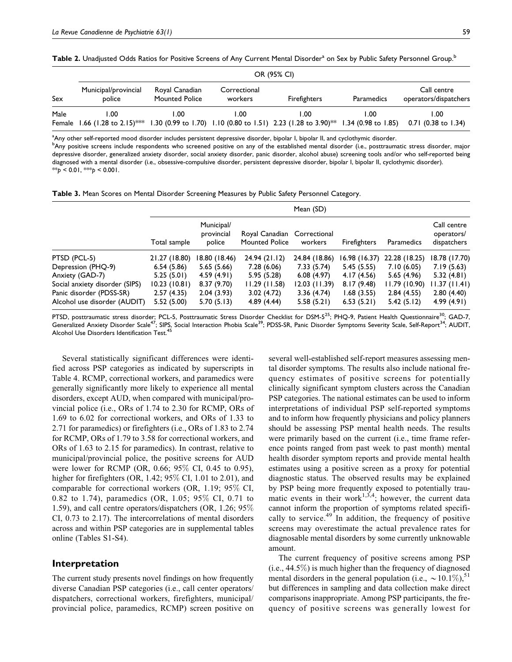Table 2. Unadjusted Odds Ratios for Positive Screens of Any Current Mental Disorder<sup>a</sup> on Sex by Public Safety Personnel Group.<sup>b</sup>

|      | OR (95% CI)                          |                                         |                         |                                                                                                       |            |                                      |  |
|------|--------------------------------------|-----------------------------------------|-------------------------|-------------------------------------------------------------------------------------------------------|------------|--------------------------------------|--|
| Sex  | Municipal/provincial<br>police       | Royal Canadian<br><b>Mounted Police</b> | Correctional<br>workers | <b>Firefighters</b>                                                                                   | Paramedics | Call centre<br>operators/dispatchers |  |
| Male | 1.00<br>Female 1.66 (1.28 to 2.15)** | 1.00                                    | I.OO                    | 00.⊺<br>1.30 (0.99 to 1.70) 1.10 (0.80 to 1.51) 2.23 (1.28 to 3.90) <sup>**</sup> 1.34 (0.98 to 1.85) | L.OO       | 1.00<br>$0.71$ (0.38 to 1.34)        |  |

<sup>a</sup>Any other self-reported mood disorder includes persistent depressive disorder, bipolar I, bipolar II, and cyclothymic disorder. b<br>Any positive screens include respondents who screened positive on any of the established mental disorder (i.e., posttraumatic stress disorder, major depressive disorder, generalized anxiety disorder, social anxiety disorder, panic disorder, alcohol abuse) screening tools and/or who self-reported being diagnosed with a mental disorder (i.e., obsessive-compulsive disorder, persistent depressive disorder, bipolar I, bipolar II, cyclothymic disorder).  $*$  $p$  < 0.01,  $*$  $p$  < 0.001.

Table 3. Mean Scores on Mental Disorder Screening Measures by Public Safety Personnel Category.

| Mean (SD)                |                                    |                          |                          |                          |                          |                                          |
|--------------------------|------------------------------------|--------------------------|--------------------------|--------------------------|--------------------------|------------------------------------------|
| Total sample             | Municipal/<br>provincial<br>police | <b>Mounted Police</b>    | Correctional<br>workers  | <b>Firefighters</b>      | Paramedics               | Call centre<br>operators/<br>dispatchers |
| 21.27 (18.80)            | 18.80 (18.46)                      | 24.94 (21.12)            | 24.84 (18.86)            | 16.98 (16.37)            | 22.28 (18.25)            | 18.78 (17.70)                            |
| 6.54(5.86)               | 5.65(5.66)                         | 7.28(6.06)               | 7.33 (5.74)              | 5.45(5.55)               | 7.10(6.05)               | 7.19(5.63)                               |
| 5.25(5.01)               | 4.59(4.91)                         | 5.95(5.28)               | 6.08(4.97)               | 4.17 (4.56)              | 5.65(4.96)               | 5.32(4.81)                               |
| 10.23(10.81)             | 8.37(9.70)                         | 11.29(11.58)             | $12.03$ (11.39)          | 8.17(9.48)               | 11.79 (10.90)            | 11.37 (11.41)                            |
| 2.57(4.35)<br>5.52(5.00) | 2.04(3.93)<br>5.70(5.13)           | 3.02(4.72)<br>4.89(4.44) | 3.36(4.74)<br>5.58(5.21) | 1.68(3.55)<br>6.53(5.21) | 2.84(4.55)<br>5.42(5.12) | 2.80(4.40)<br>4.99(4.91)                 |
|                          |                                    |                          |                          | Royal Canadian           |                          |                                          |

PTSD, posttraumatic stress disorder; PCL-5, Posttraumatic Stress Disorder Checklist for DSM-5<sup>25</sup>; PHQ-9, Patient Health Questionnaire<sup>30</sup>; GAD-7, Generalized Anxiety Disorder Scale<sup>47</sup>; SIPS, Social Interaction Phobia Scale<sup>39</sup>; PDSS-SR, Panic Disorder Symptoms Severity Scale, Self-Report<sup>34</sup>; AUDIT, Alcohol Use Disorders Identification Test.<sup>45</sup>

Several statistically significant differences were identified across PSP categories as indicated by superscripts in Table 4. RCMP, correctional workers, and paramedics were generally significantly more likely to experience all mental disorders, except AUD, when compared with municipal/provincial police (i.e., ORs of 1.74 to 2.30 for RCMP, ORs of 1.69 to 6.02 for correctional workers, and ORs of 1.33 to 2.71 for paramedics) or firefighters (i.e., ORs of 1.83 to 2.74 for RCMP, ORs of 1.79 to 3.58 for correctional workers, and ORs of 1.63 to 2.15 for paramedics). In contrast, relative to municipal/provincial police, the positive screens for AUD were lower for RCMP (OR, 0.66; 95% CI, 0.45 to 0.95), higher for firefighters (OR, 1.42; 95% CI, 1.01 to 2.01), and comparable for correctional workers (OR, 1.19; 95% CI, 0.82 to 1.74), paramedics (OR, 1.05; 95% CI, 0.71 to 1.59), and call centre operators/dispatchers (OR, 1.26; 95% CI, 0.73 to 2.17). The intercorrelations of mental disorders across and within PSP categories are in supplemental tables online (Tables S1-S4).

## Interpretation

The current study presents novel findings on how frequently diverse Canadian PSP categories (i.e., call center operators/ dispatchers, correctional workers, firefighters, municipal/ provincial police, paramedics, RCMP) screen positive on

several well-established self-report measures assessing mental disorder symptoms. The results also include national frequency estimates of positive screens for potentially clinically significant symptom clusters across the Canadian PSP categories. The national estimates can be used to inform interpretations of individual PSP self-reported symptoms and to inform how frequently physicians and policy planners should be assessing PSP mental health needs. The results were primarily based on the current (i.e., time frame reference points ranged from past week to past month) mental health disorder symptom reports and provide mental health estimates using a positive screen as a proxy for potential diagnostic status. The observed results may be explained by PSP being more frequently exposed to potentially traumatic events in their work<sup>1,3,4</sup>; however, the current data cannot inform the proportion of symptoms related specifically to service. $49$  In addition, the frequency of positive screens may overestimate the actual prevalence rates for diagnosable mental disorders by some currently unknowable amount.

The current frequency of positive screens among PSP (i.e., 44.5%) is much higher than the frequency of diagnosed mental disorders in the general population (i.e.,  $\sim$  10.1%),<sup>51</sup> but differences in sampling and data collection make direct comparisons inappropriate. Among PSP participants, the frequency of positive screens was generally lowest for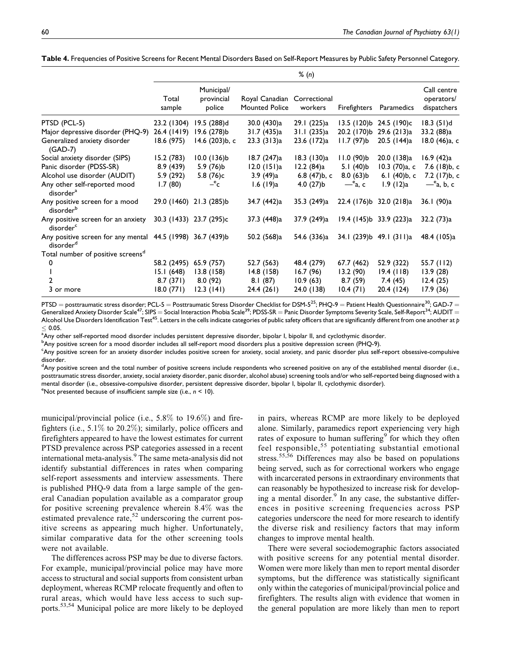|                                                                                     | % (n)           |                                    |                                         |                         |                       |                         |                                          |
|-------------------------------------------------------------------------------------|-----------------|------------------------------------|-----------------------------------------|-------------------------|-----------------------|-------------------------|------------------------------------------|
|                                                                                     | Total<br>sample | Municipal/<br>provincial<br>police | Royal Canadian<br><b>Mounted Police</b> | Correctional<br>workers | <b>Firefighters</b>   | Paramedics              | Call centre<br>operators/<br>dispatchers |
| PTSD (PCL-5)                                                                        | 23.2 (1304)     | 19.5 (288)d                        | 30.0 (430)a                             | 29.1 (225)a             |                       | 13.5 (120)b 24.5 (190)c | $18.3(51)$ d                             |
| Major depressive disorder (PHQ-9)                                                   | 26.4 (1419)     | 19.6 (278)b                        | 31.7 (435)a                             | 31.1 (235)a             | 20.2 (170)b           | 29.6 (213)a             | 33.2 (88)a                               |
| Generalized anxiety disorder<br>$(GAD-7)$                                           | 18.6 (975)      | 14.6 (203)b, c                     | 23.3(313)a                              | 23.6 (172)a             | $11.7(97)$ b          | 20.5 (144)a             | 18.0 (46)a, c                            |
| Social anxiety disorder (SIPS)                                                      | 15.2 (783)      | $10.0$ (136)b                      | 18.7 (247)a                             | 18.3 (130)a             | $11.0(90)$ b          | 20.0 (138)a             | 16.9(42)a                                |
| Panic disorder (PDSS-SR)                                                            | 8.9(439)        | $5.9(76)$ b                        | $12.0$ (151)a                           | 12.2(84)a               | $5.1(40)$ b           | $10.3$ (70)a, c         | 7.6 (18)b, c                             |
| Alcohol use disorder (AUDIT)                                                        | 5.9 (292)       | 5.8 (76)c                          | 3.9 (49)a                               | 6.8 (47)b, c            | $8.0(63)$ b           | 6.1 (40)b, c            | 7.2 (17)b, c                             |
| Any other self-reported mood<br>disorder <sup>a</sup>                               | 1.7(80)         | $-{}^e c$                          | 1.6 $(19)a$                             | $4.0(27)$ b             | $-$ <sup>e</sup> a, c | 1.9(12)a                | $-$ <sup>e</sup> a, b, c                 |
| Any positive screen for a mood<br>disorderb                                         |                 | 29.0 (1460) 21.3 (285)b            | 34.7 (442)a                             | 35.3 (249)a             |                       | 22.4 (176)b 32.0 (218)a | 36.1 (90)a                               |
| Any positive screen for an anxiety<br>disorder <sup>c</sup>                         |                 | 30.3 (1433) 23.7 (295)c            | 37.3 (448)a                             | 37.9 (249)a             |                       | 19.4 (145)b 33.9 (223)a | 32.2(73)a                                |
| Any positive screen for any mental 44.5 (1998) 36.7 (439)b<br>disorder <sup>d</sup> |                 |                                    | 50.2 (568)a                             | 54.6 (336)a             |                       | 34.1 (239)b 49.1 (311)a | 48.4 (105)a                              |
| Total number of positive screens <sup>d</sup>                                       |                 |                                    |                                         |                         |                       |                         |                                          |
| 0                                                                                   | 58.2 (2495)     | 65.9 (757)                         | 52.7 (563)                              | 48.4 (279)              | 67.7 (462)            | 52.9 (322)              | 55.7 (112)                               |
|                                                                                     | 15.1(648)       | 13.8(158)                          | 14.8 (158)                              | 16.7(96)                | 13.2(90)              | 19.4(118)               | 13.9(28)                                 |
|                                                                                     | 8.7(371)        | 8.0(92)                            | 8.1(87)                                 | 10.9(63)                | 8.7(59)               | 7.4(45)                 | 12.4(25)                                 |
| 3 or more                                                                           | 18.0 (771)      | 12.3(141)                          | 24.4 (261)                              | 24.0 (138)              | 10.4(71)              | 20.4 (124)              | 17.9(36)                                 |

Table 4. Frequencies of Positive Screens for Recent Mental Disorders Based on Self-Report Measures by Public Safety Personnel Category.

PTSD = posttraumatic stress disorder; PCL-5 = Posttraumatic Stress Disorder Checklist for DSM-5<sup>25</sup>; PHQ-9 = Patient Health Questionnaire<sup>30</sup>; GAD-7 = Generalized Anxiety Disorder Scale<sup>47</sup>; SIPS = Social Interaction Phobia Scale<sup>39</sup>; PDSS-SR = Panic Disorder Symptoms Severity Scale, Self-Report<sup>34</sup>; AUDIT = Alcohol Use Disorders Identification Test<sup>45</sup>. Letters in the cells indicate categories of public safety officers that are significantly different from one another at p  $\leq$  0.05.<br> $\frac{1}{2}$ Any ot

<sup>a</sup>Any other self-reported mood disorder includes persistent depressive disorder, bipolar I, bipolar II, and cyclothymic disorder.

<sup>b</sup>Any positive screen for a mood disorder includes all self-report mood disorders plus a positive depression screen (PHQ-9).

<sup>c</sup>Any positive screen for an anxiety disorder includes positive screen for anxiety, social anxiety, and panic disorder plus self-report obsessive-compulsive disorder.

<sup>d</sup>Any positive screen and the total number of positive screens include respondents who screened positive on any of the established mental disorder (i.e., posttraumatic stress disorder, anxiety, social anxiety disorder, panic disorder, alcohol abuse) screening tools and/or who self-reported being diagnosed with a mental disorder (i.e., obsessive-compulsive disorder, persistent depressive disorder, bipolar I, bipolar II, cyclothymic disorder).

<sup>e</sup>Not presented because of insufficient sample size (i.e.,  $n < 10$ ).

municipal/provincial police (i.e., 5.8% to 19.6%) and firefighters (i.e., 5.1% to 20.2%); similarly, police officers and firefighters appeared to have the lowest estimates for current PTSD prevalence across PSP categories assessed in a recent international meta-analysis.<sup>9</sup> The same meta-analysis did not identify substantial differences in rates when comparing self-report assessments and interview assessments. There is published PHQ-9 data from a large sample of the general Canadian population available as a comparator group for positive screening prevalence wherein 8.4% was the estimated prevalence rate,  $52$  underscoring the current positive screens as appearing much higher. Unfortunately, similar comparative data for the other screening tools were not available.

The differences across PSP may be due to diverse factors. For example, municipal/provincial police may have more access to structural and social supports from consistent urban deployment, whereas RCMP relocate frequently and often to rural areas, which would have less access to such supports.53,54 Municipal police are more likely to be deployed

in pairs, whereas RCMP are more likely to be deployed alone. Similarly, paramedics report experiencing very high rates of exposure to human suffering<sup>9</sup> for which they often feel responsible,<sup>55</sup> potentiating substantial emotional stress.<sup>55,56</sup> Differences may also be based on populations being served, such as for correctional workers who engage with incarcerated persons in extraordinary environments that can reasonably be hypothesized to increase risk for developing a mental disorder. $9$  In any case, the substantive differences in positive screening frequencies across PSP categories underscore the need for more research to identify the diverse risk and resiliency factors that may inform changes to improve mental health.

There were several sociodemographic factors associated with positive screens for any potential mental disorder. Women were more likely than men to report mental disorder symptoms, but the difference was statistically significant only within the categories of municipal/provincial police and firefighters. The results align with evidence that women in the general population are more likely than men to report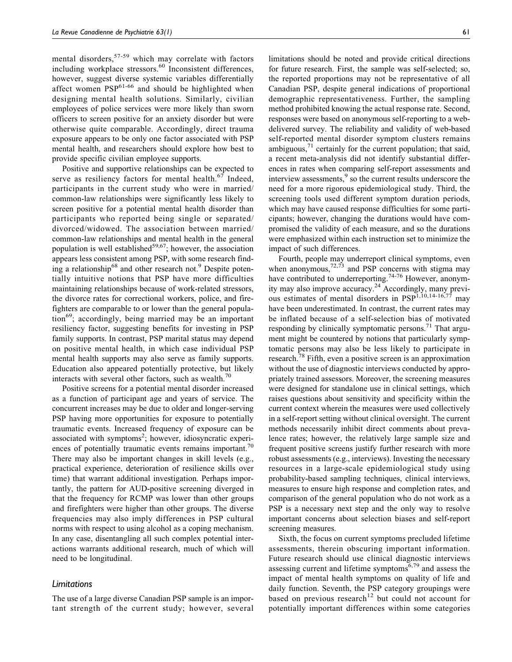mental disorders,<sup>57-59</sup> which may correlate with factors including workplace stressors.<sup>60</sup> Inconsistent differences, however, suggest diverse systemic variables differentially affect women  $PSP<sup>61-66</sup>$  and should be highlighted when designing mental health solutions. Similarly, civilian employees of police services were more likely than sworn officers to screen positive for an anxiety disorder but were otherwise quite comparable. Accordingly, direct trauma exposure appears to be only one factor associated with PSP mental health, and researchers should explore how best to provide specific civilian employee supports.

Positive and supportive relationships can be expected to serve as resiliency factors for mental health. $67$  Indeed, participants in the current study who were in married/ common-law relationships were significantly less likely to screen positive for a potential mental health disorder than participants who reported being single or separated/ divorced/widowed. The association between married/ common-law relationships and mental health in the general population is well established $59,67$ ; however, the association appears less consistent among PSP, with some research finding a relationship<sup>68</sup> and other research not.<sup>9</sup> Despite potentially intuitive notions that PSP have more difficulties maintaining relationships because of work-related stressors, the divorce rates for correctional workers, police, and firefighters are comparable to or lower than the general popula- $\mu$ <sup>69</sup>; accordingly, being married may be an important resiliency factor, suggesting benefits for investing in PSP family supports. In contrast, PSP marital status may depend on positive mental health, in which case individual PSP mental health supports may also serve as family supports. Education also appeared potentially protective, but likely interacts with several other factors, such as wealth. $70$ 

Positive screens for a potential mental disorder increased as a function of participant age and years of service. The concurrent increases may be due to older and longer-serving PSP having more opportunities for exposure to potentially traumatic events. Increased frequency of exposure can be associated with symptoms<sup>2</sup>; however, idiosyncratic experiences of potentially traumatic events remains important.<sup>70</sup> There may also be important changes in skill levels (e.g., practical experience, deterioration of resilience skills over time) that warrant additional investigation. Perhaps importantly, the pattern for AUD-positive screening diverged in that the frequency for RCMP was lower than other groups and firefighters were higher than other groups. The diverse frequencies may also imply differences in PSP cultural norms with respect to using alcohol as a coping mechanism. In any case, disentangling all such complex potential interactions warrants additional research, much of which will need to be longitudinal.

### Limitations

The use of a large diverse Canadian PSP sample is an important strength of the current study; however, several

limitations should be noted and provide critical directions for future research. First, the sample was self-selected; so, the reported proportions may not be representative of all Canadian PSP, despite general indications of proportional demographic representativeness. Further, the sampling method prohibited knowing the actual response rate. Second, responses were based on anonymous self-reporting to a webdelivered survey. The reliability and validity of web-based self-reported mental disorder symptom clusters remains ambiguous, $^{71}$  certainly for the current population; that said, a recent meta-analysis did not identify substantial differences in rates when comparing self-report assessments and interview assessments,<sup>9</sup> so the current results underscore the need for a more rigorous epidemiological study. Third, the screening tools used different symptom duration periods, which may have caused response difficulties for some participants; however, changing the durations would have compromised the validity of each measure, and so the durations were emphasized within each instruction set to minimize the impact of such differences.

Fourth, people may underreport clinical symptoms, even when anonymous,  $72,73$  and PSP concerns with stigma may have contributed to underreporting.<sup>74-76</sup> However, anonymity may also improve accuracy.<sup>24</sup> Accordingly, many previous estimates of mental disorders in  $PSP<sup>1,10,14-16,77</sup>$ </sup> may have been underestimated. In contrast, the current rates may be inflated because of a self-selection bias of motivated responding by clinically symptomatic persons.<sup>71</sup> That argument might be countered by notions that particularly symptomatic persons may also be less likely to participate in research.<sup>78</sup> Fifth, even a positive screen is an approximation without the use of diagnostic interviews conducted by appropriately trained assessors. Moreover, the screening measures were designed for standalone use in clinical settings, which raises questions about sensitivity and specificity within the current context wherein the measures were used collectively in a self-report setting without clinical oversight. The current methods necessarily inhibit direct comments about prevalence rates; however, the relatively large sample size and frequent positive screens justify further research with more robust assessments (e.g., interviews). Investing the necessary resources in a large-scale epidemiological study using probability-based sampling techniques, clinical interviews, measures to ensure high response and completion rates, and comparison of the general population who do not work as a PSP is a necessary next step and the only way to resolve important concerns about selection biases and self-report screening measures.

Sixth, the focus on current symptoms precluded lifetime assessments, therein obscuring important information. Future research should use clinical diagnostic interviews assessing current and lifetime symptoms<sup>6,79</sup> and assess the impact of mental health symptoms on quality of life and daily function. Seventh, the PSP category groupings were based on previous research<sup>12</sup> but could not account for potentially important differences within some categories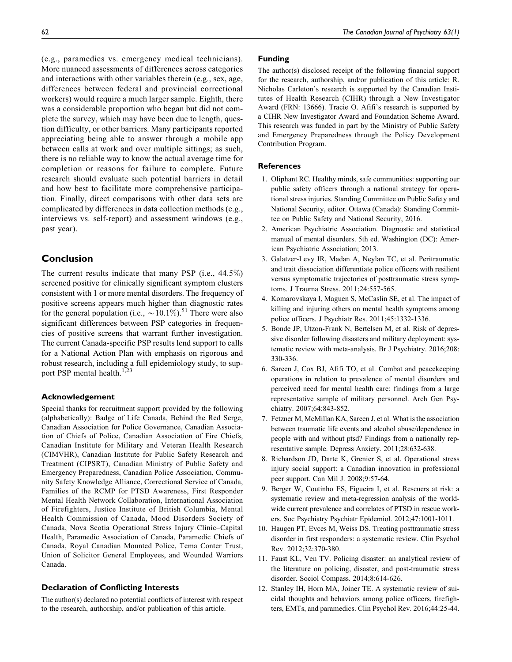(e.g., paramedics vs. emergency medical technicians). More nuanced assessments of differences across categories and interactions with other variables therein (e.g., sex, age, differences between federal and provincial correctional workers) would require a much larger sample. Eighth, there was a considerable proportion who began but did not complete the survey, which may have been due to length, question difficulty, or other barriers. Many participants reported appreciating being able to answer through a mobile app between calls at work and over multiple sittings; as such, there is no reliable way to know the actual average time for completion or reasons for failure to complete. Future research should evaluate such potential barriers in detail and how best to facilitate more comprehensive participation. Finally, direct comparisons with other data sets are complicated by differences in data collection methods (e.g., interviews vs. self-report) and assessment windows (e.g., past year).

# Conclusion

The current results indicate that many PSP (i.e., 44.5%) screened positive for clinically significant symptom clusters consistent with 1 or more mental disorders. The frequency of positive screens appears much higher than diagnostic rates for the general population (i.e.,  $\sim$  10.1%).<sup>51</sup> There were also significant differences between PSP categories in frequencies of positive screens that warrant further investigation. The current Canada-specific PSP results lend support to calls for a National Action Plan with emphasis on rigorous and robust research, including a full epidemiology study, to support PSP mental health.<sup>1,23</sup>

#### Acknowledgement

Special thanks for recruitment support provided by the following (alphabetically): Badge of Life Canada, Behind the Red Serge, Canadian Association for Police Governance, Canadian Association of Chiefs of Police, Canadian Association of Fire Chiefs, Canadian Institute for Military and Veteran Health Research (CIMVHR), Canadian Institute for Public Safety Research and Treatment (CIPSRT), Canadian Ministry of Public Safety and Emergency Preparedness, Canadian Police Association, Community Safety Knowledge Alliance, Correctional Service of Canada, Families of the RCMP for PTSD Awareness, First Responder Mental Health Network Collaboration, International Association of Firefighters, Justice Institute of British Columbia, Mental Health Commission of Canada, Mood Disorders Society of Canada, Nova Scotia Operational Stress Injury Clinic–Capital Health, Paramedic Association of Canada, Paramedic Chiefs of Canada, Royal Canadian Mounted Police, Tema Conter Trust, Union of Solicitor General Employees, and Wounded Warriors Canada.

#### Declaration of Conflicting Interests

The author(s) declared no potential conflicts of interest with respect to the research, authorship, and/or publication of this article.

### Funding

The author(s) disclosed receipt of the following financial support for the research, authorship, and/or publication of this article: R. Nicholas Carleton's research is supported by the Canadian Institutes of Health Research (CIHR) through a New Investigator Award (FRN: 13666). Tracie O. Afifi's research is supported by a CIHR New Investigator Award and Foundation Scheme Award. This research was funded in part by the Ministry of Public Safety and Emergency Preparedness through the Policy Development Contribution Program.

## References

- 1. Oliphant RC. Healthy minds, safe communities: supporting our public safety officers through a national strategy for operational stress injuries. Standing Committee on Public Safety and National Security, editor. Ottawa (Canada): Standing Committee on Public Safety and National Security, 2016.
- 2. American Psychiatric Association. Diagnostic and statistical manual of mental disorders. 5th ed. Washington (DC): American Psychiatric Association; 2013.
- 3. Galatzer-Levy IR, Madan A, Neylan TC, et al. Peritraumatic and trait dissociation differentiate police officers with resilient versus symptomatic trajectories of posttraumatic stress symptoms. J Trauma Stress. 2011;24:557-565.
- 4. Komarovskaya I, Maguen S, McCaslin SE, et al. The impact of killing and injuring others on mental health symptoms among police officers. J Psychiatr Res. 2011;45:1332-1336.
- 5. Bonde JP, Utzon-Frank N, Bertelsen M, et al. Risk of depressive disorder following disasters and military deployment: systematic review with meta-analysis. Br J Psychiatry. 2016;208: 330-336.
- 6. Sareen J, Cox BJ, Afifi TO, et al. Combat and peacekeeping operations in relation to prevalence of mental disorders and perceived need for mental health care: findings from a large representative sample of military personnel. Arch Gen Psychiatry. 2007;64:843-852.
- 7. Fetzner M, McMillan KA, Sareen J, et al. What is the association between traumatic life events and alcohol abuse/dependence in people with and without ptsd? Findings from a nationally representative sample. Depress Anxiety. 2011;28:632-638.
- 8. Richardson JD, Darte K, Grenier S, et al. Operational stress injury social support: a Canadian innovation in professional peer support. Can Mil J. 2008;9:57-64.
- 9. Berger W, Coutinho ES, Figueira I, et al. Rescuers at risk: a systematic review and meta-regression analysis of the worldwide current prevalence and correlates of PTSD in rescue workers. Soc Psychiatry Psychiatr Epidemiol. 2012;47:1001-1011.
- 10. Haugen PT, Evces M, Weiss DS. Treating posttraumatic stress disorder in first responders: a systematic review. Clin Psychol Rev. 2012;32:370-380.
- 11. Faust KL, Ven TV. Policing disaster: an analytical review of the literature on policing, disaster, and post-traumatic stress disorder. Sociol Compass. 2014;8:614-626.
- 12. Stanley IH, Horn MA, Joiner TE. A systematic review of suicidal thoughts and behaviors among police officers, firefighters, EMTs, and paramedics. Clin Psychol Rev. 2016;44:25-44.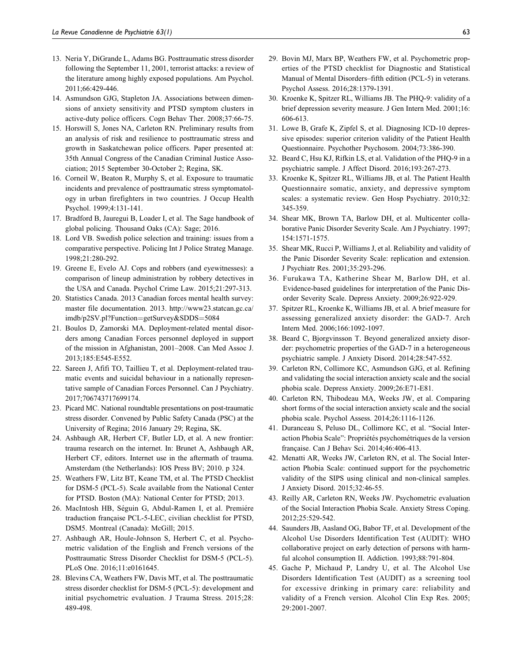- 13. Neria Y, DiGrande L, Adams BG. Posttraumatic stress disorder following the September 11, 2001, terrorist attacks: a review of the literature among highly exposed populations. Am Psychol. 2011;66:429-446.
- 14. Asmundson GJG, Stapleton JA. Associations between dimensions of anxiety sensitivity and PTSD symptom clusters in active-duty police officers. Cogn Behav Ther. 2008;37:66-75.
- 15. Horswill S, Jones NA, Carleton RN. Preliminary results from an analysis of risk and resilience to posttraumatic stress and growth in Saskatchewan police officers. Paper presented at: 35th Annual Congress of the Canadian Criminal Justice Association; 2015 September 30-October 2; Regina, SK.
- 16. Corneil W, Beaton R, Murphy S, et al. Exposure to traumatic incidents and prevalence of posttraumatic stress symptomatology in urban firefighters in two countries. J Occup Health Psychol. 1999;4:131-141.
- 17. Bradford B, Jauregui B, Loader I, et al. The Sage handbook of global policing. Thousand Oaks (CA): Sage; 2016.
- 18. Lord VB. Swedish police selection and training: issues from a comparative perspective. Policing Int J Police Strateg Manage. 1998;21:280-292.
- 19. Greene E, Evelo AJ. Cops and robbers (and eyewitnesses): a comparison of lineup administration by robbery detectives in the USA and Canada. Psychol Crime Law. 2015;21:297-313.
- 20. Statistics Canada. 2013 Canadian forces mental health survey: master file documentation. 2013. [http://www23.statcan.gc.ca/](http://www23.statcan.gc.ca/imdb/p2SV.pl?Function=getSurvey&SDDS=5084) [imdb/p2SV.pl?Function](http://www23.statcan.gc.ca/imdb/p2SV.pl?Function=getSurvey&SDDS=5084)=[getSurvey&SDDS](http://www23.statcan.gc.ca/imdb/p2SV.pl?Function=getSurvey&SDDS=5084)=[5084](http://www23.statcan.gc.ca/imdb/p2SV.pl?Function=getSurvey&SDDS=5084)
- 21. Boulos D, Zamorski MA. Deployment-related mental disorders among Canadian Forces personnel deployed in support of the mission in Afghanistan, 2001–2008. Can Med Assoc J. 2013;185:E545-E552.
- 22. Sareen J, Afifi TO, Taillieu T, et al. Deployment-related traumatic events and suicidal behaviour in a nationally representative sample of Canadian Forces Personnel. Can J Psychiatry. 2017;706743717699174.
- 23. Picard MC. National roundtable presentations on post-traumatic stress disorder. Convened by Public Safety Canada (PSC) at the University of Regina; 2016 January 29; Regina, SK.
- 24. Ashbaugh AR, Herbert CF, Butler LD, et al. A new frontier: trauma research on the internet. In: Brunet A, Ashbaugh AR, Herbert CF, editors. Internet use in the aftermath of trauma. Amsterdam (the Netherlands): IOS Press BV; 2010. p 324.
- 25. Weathers FW, Litz BT, Keane TM, et al. The PTSD Checklist for DSM-5 (PCL-5). Scale available from the National Center for PTSD. Boston (MA): National Center for PTSD; 2013.
- 26. MacIntosh HB, Séguin G, Abdul-Ramen I, et al. Premiére traduction française PCL-5-LEC, civilian checklist for PTSD, DSM5. Montreal (Canada): McGill; 2015.
- 27. Ashbaugh AR, Houle-Johnson S, Herbert C, et al. Psychometric validation of the English and French versions of the Posttraumatic Stress Disorder Checklist for DSM-5 (PCL-5). PLoS One. 2016;11:e0161645.
- 28. Blevins CA, Weathers FW, Davis MT, et al. The posttraumatic stress disorder checklist for DSM-5 (PCL-5): development and initial psychometric evaluation. J Trauma Stress. 2015;28: 489-498.
- 29. Bovin MJ, Marx BP, Weathers FW, et al. Psychometric properties of the PTSD checklist for Diagnostic and Statistical Manual of Mental Disorders–fifth edition (PCL-5) in veterans. Psychol Assess. 2016;28:1379-1391.
- 30. Kroenke K, Spitzer RL, Williams JB. The PHQ-9: validity of a brief depression severity measure. J Gen Intern Med. 2001;16: 606-613.
- 31. Lowe B, Grafe K, Zipfel S, et al. Diagnosing ICD-10 depressive episodes: superior criterion validity of the Patient Health Questionnaire. Psychother Psychosom. 2004;73:386-390.
- 32. Beard C, Hsu KJ, Rifkin LS, et al. Validation of the PHQ-9 in a psychiatric sample. J Affect Disord. 2016;193:267-273.
- 33. Kroenke K, Spitzer RL, Williams JB, et al. The Patient Health Questionnaire somatic, anxiety, and depressive symptom scales: a systematic review. Gen Hosp Psychiatry. 2010;32: 345-359.
- 34. Shear MK, Brown TA, Barlow DH, et al. Multicenter collaborative Panic Disorder Severity Scale. Am J Psychiatry. 1997; 154:1571-1575.
- 35. Shear MK, Rucci P, Williams J, et al. Reliability and validity of the Panic Disorder Severity Scale: replication and extension. J Psychiatr Res. 2001;35:293-296.
- 36. Furukawa TA, Katherine Shear M, Barlow DH, et al. Evidence-based guidelines for interpretation of the Panic Disorder Severity Scale. Depress Anxiety. 2009;26:922-929.
- 37. Spitzer RL, Kroenke K, Williams JB, et al. A brief measure for assessing generalized anxiety disorder: the GAD-7. Arch Intern Med. 2006;166:1092-1097.
- 38. Beard C, Bjorgvinsson T. Beyond generalized anxiety disorder: psychometric properties of the GAD-7 in a heterogeneous psychiatric sample. J Anxiety Disord. 2014;28:547-552.
- 39. Carleton RN, Collimore KC, Asmundson GJG, et al. Refining and validating the social interaction anxiety scale and the social phobia scale. Depress Anxiety. 2009;26:E71-E81.
- 40. Carleton RN, Thibodeau MA, Weeks JW, et al. Comparing short forms of the social interaction anxiety scale and the social phobia scale. Psychol Assess. 2014;26:1116-1126.
- 41. Duranceau S, Peluso DL, Collimore KC, et al. "Social Interaction Phobia Scale": Propriétés psychométriques de la version française. Can J Behav Sci. 2014;46:406-413.
- 42. Menatti AR, Weeks JW, Carleton RN, et al. The Social Interaction Phobia Scale: continued support for the psychometric validity of the SIPS using clinical and non-clinical samples. J Anxiety Disord. 2015;32:46-55.
- 43. Reilly AR, Carleton RN, Weeks JW. Psychometric evaluation of the Social Interaction Phobia Scale. Anxiety Stress Coping. 2012;25:529-542.
- 44. Saunders JB, Aasland OG, Babor TF, et al. Development of the Alcohol Use Disorders Identification Test (AUDIT): WHO collaborative project on early detection of persons with harmful alcohol consumption II. Addiction. 1993;88:791-804.
- 45. Gache P, Michaud P, Landry U, et al. The Alcohol Use Disorders Identification Test (AUDIT) as a screening tool for excessive drinking in primary care: reliability and validity of a French version. Alcohol Clin Exp Res. 2005; 29:2001-2007.